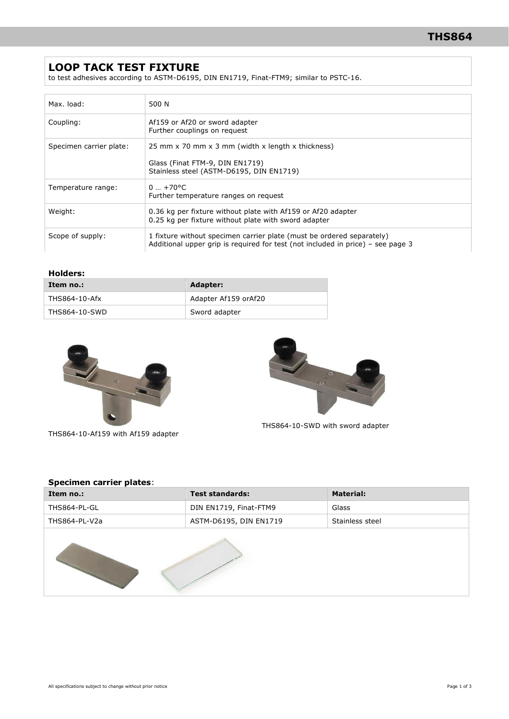## **LOOP TACK TEST FIXTURE**

to test adhesives according to ASTM-D6195, DIN EN1719, Finat-FTM9; similar to PSTC-16.

| Max. load:              | 500 N                                                                                                                                                    |
|-------------------------|----------------------------------------------------------------------------------------------------------------------------------------------------------|
| Coupling:               | Af159 or Af20 or sword adapter<br>Further couplings on request                                                                                           |
| Specimen carrier plate: | 25 mm x 70 mm x 3 mm (width x length x thickness)<br>Glass (Finat FTM-9, DIN EN1719)<br>Stainless steel (ASTM-D6195, DIN EN1719)                         |
| Temperature range:      | $0  + 70$ <sup>o</sup> C<br>Further temperature ranges on request                                                                                        |
| Weight:                 | 0.36 kg per fixture without plate with Af159 or Af20 adapter<br>0.25 kg per fixture without plate with sword adapter                                     |
| Scope of supply:        | 1 fixture without specimen carrier plate (must be ordered separately)<br>Additional upper grip is required for test (not included in price) – see page 3 |

#### **Holders:**

| Item no.:     | Adapter:             |  |
|---------------|----------------------|--|
| THS864-10-Afx | Adapter Af159 orAf20 |  |
| THS864-10-SWD | Sword adapter        |  |



THS864-10-Af159 with Af159 adapter



THS864-10-SWD with sword adapter

#### **Specimen carrier plates**:

| Item no.:     | <b>Test standards:</b> | <b>Material:</b> |  |  |
|---------------|------------------------|------------------|--|--|
| THS864-PL-GL  | DIN EN1719, Finat-FTM9 | Glass            |  |  |
| THS864-PL-V2a | ASTM-D6195, DIN EN1719 | Stainless steel  |  |  |
|               |                        |                  |  |  |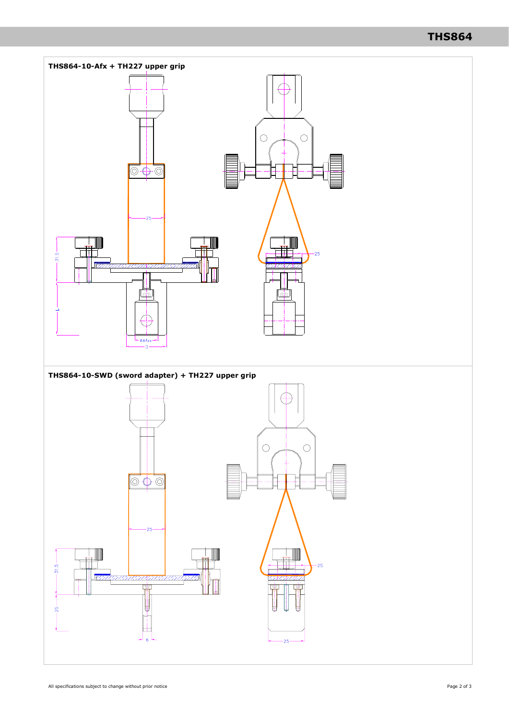# **THS864**